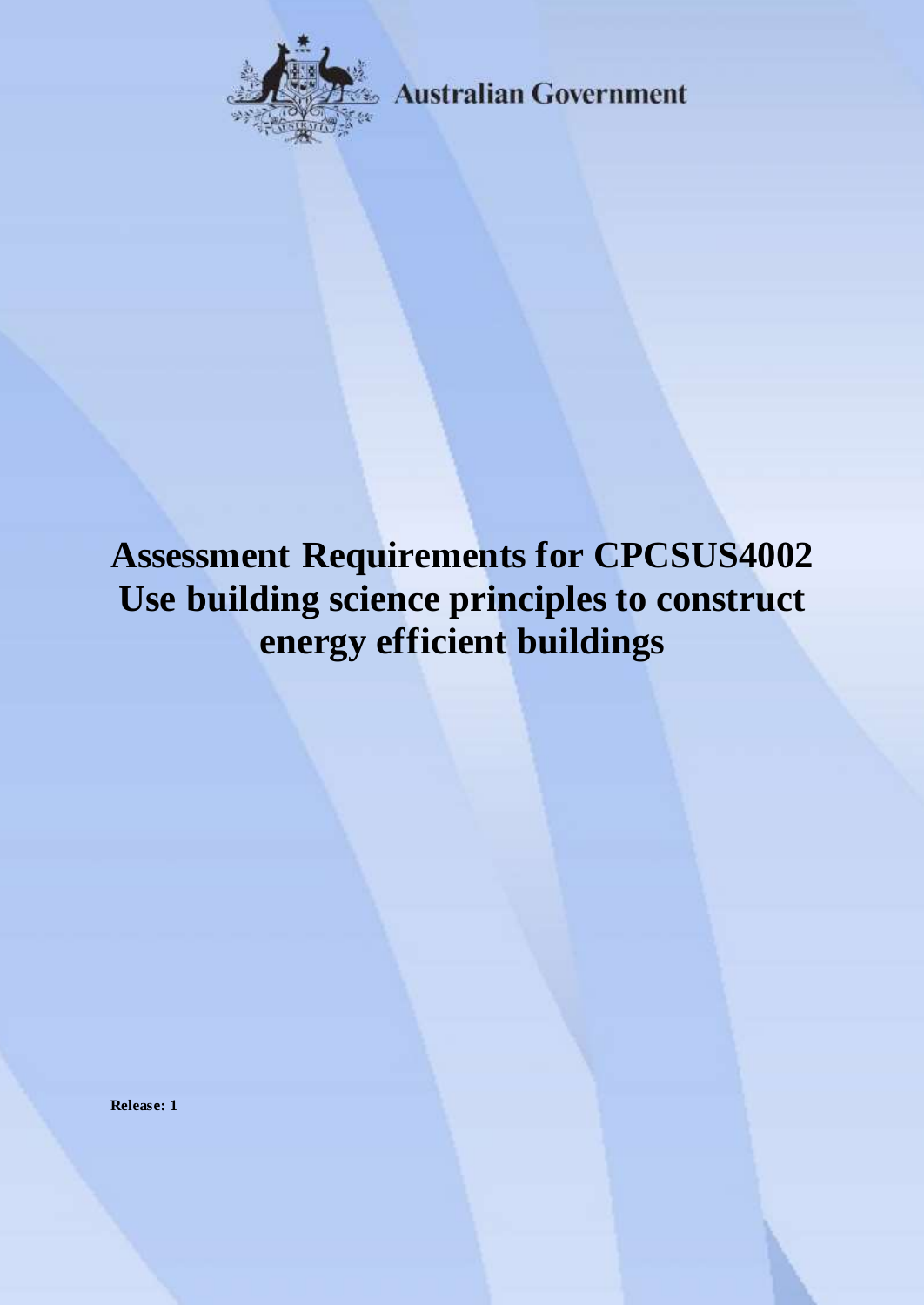

**Australian Government** 

# **Assessment Requirements for CPCSUS4002 Use building science principles to construct energy efficient buildings**

**Release: 1**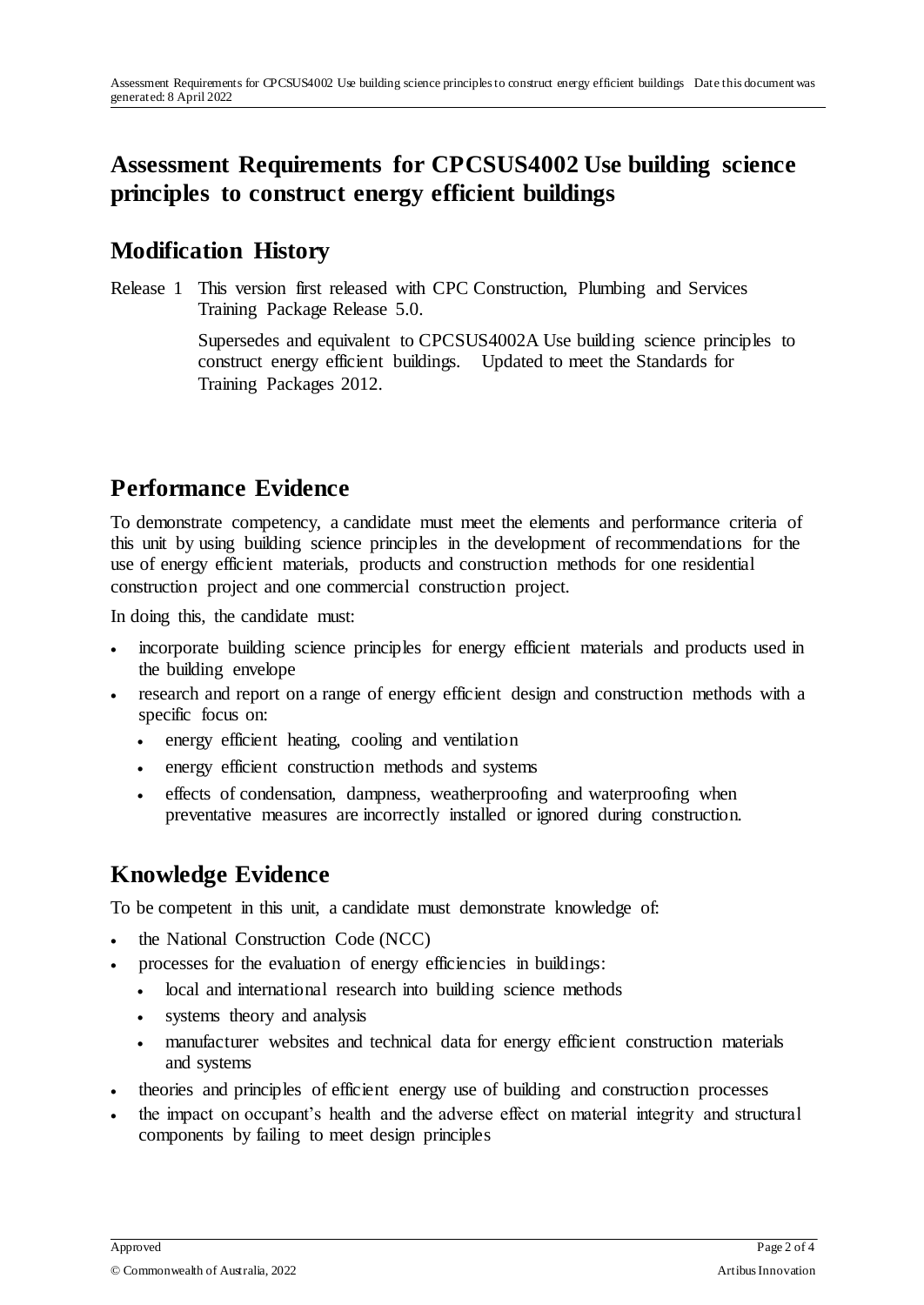# **Assessment Requirements for CPCSUS4002 Use building science principles to construct energy efficient buildings**

### **Modification History**

Release 1 This version first released with CPC Construction, Plumbing and Services Training Package Release 5.0.

> Supersedes and equivalent to CPCSUS4002A Use building science principles to construct energy efficient buildings. Updated to meet the Standards for Training Packages 2012.

# **Performance Evidence**

To demonstrate competency, a candidate must meet the elements and performance criteria of this unit by using building science principles in the development of recommendations for the use of energy efficient materials, products and construction methods for one residential construction project and one commercial construction project.

In doing this, the candidate must:

- incorporate building science principles for energy efficient materials and products used in the building envelope
- research and report on a range of energy efficient design and construction methods with a specific focus on:
	- energy efficient heating, cooling and ventilation
	- energy efficient construction methods and systems
	- effects of condensation, dampness, weatherproofing and waterproofing when preventative measures are incorrectly installed or ignored during construction.

# **Knowledge Evidence**

To be competent in this unit, a candidate must demonstrate knowledge of:

- the National Construction Code (NCC)
- processes for the evaluation of energy efficiencies in buildings:
	- local and international research into building science methods
	- systems theory and analysis
	- manufacturer websites and technical data for energy efficient construction materials and systems
- theories and principles of efficient energy use of building and construction processes
- the impact on occupant's health and the adverse effect on material integrity and structural components by failing to meet design principles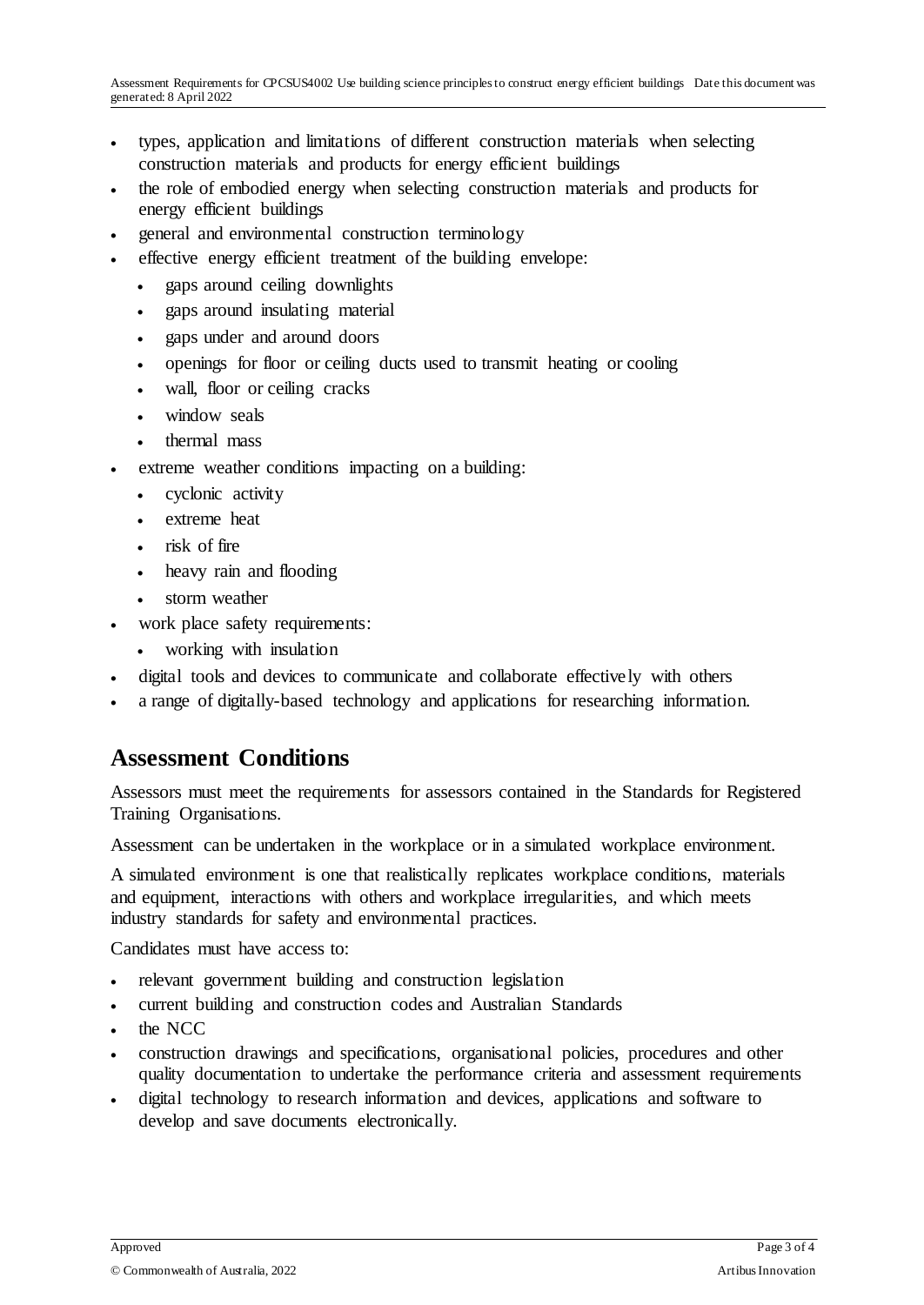- types, application and limitations of different construction materials when selecting construction materials and products for energy efficient buildings
- the role of embodied energy when selecting construction materials and products for energy efficient buildings
- general and environmental construction terminology
- effective energy efficient treatment of the building envelope:
	- gaps around ceiling downlights
	- gaps around insulating material
	- gaps under and around doors
	- openings for floor or ceiling ducts used to transmit heating or cooling
	- wall, floor or ceiling cracks
	- window seals
	- thermal mass
- extreme weather conditions impacting on a building:
	- cyclonic activity
	- extreme heat
	- risk of fire
	- heavy rain and flooding
	- storm weather
- work place safety requirements:
	- working with insulation
- digital tools and devices to communicate and collaborate effectively with others
- a range of digitally-based technology and applications for researching information.

#### **Assessment Conditions**

Assessors must meet the requirements for assessors contained in the Standards for Registered Training Organisations.

Assessment can be undertaken in the workplace or in a simulated workplace environment.

A simulated environment is one that realistically replicates workplace conditions, materials and equipment, interactions with others and workplace irregularities, and which meets industry standards for safety and environmental practices.

Candidates must have access to:

- relevant government building and construction legislation
- current building and construction codes and Australian Standards
- the NCC
- construction drawings and specifications, organisational policies, procedures and other quality documentation to undertake the performance criteria and assessment requirements
- digital technology to research information and devices, applications and software to develop and save documents electronically.